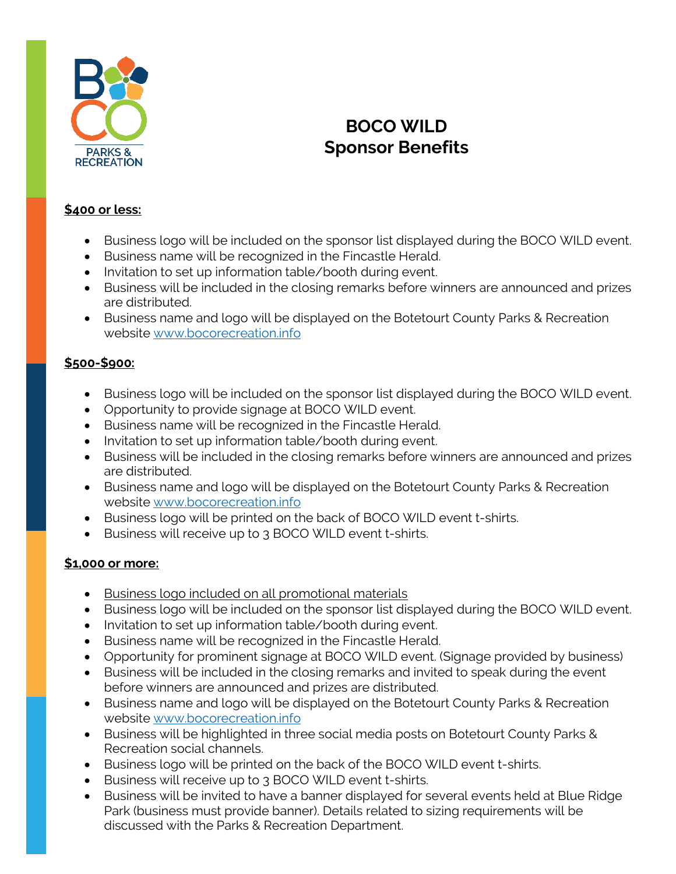

## **BOCO WILD Sponsor Benefits**

## **\$400 or less:**

- Business logo will be included on the sponsor list displayed during the BOCO WILD event.
- Business name will be recognized in the Fincastle Herald.
- Invitation to set up information table/booth during event.
- Business will be included in the closing remarks before winners are announced and prizes are distributed.
- Business name and logo will be displayed on the Botetourt County Parks & Recreation website [www.bocorecreation.info](http://www.bocorecreation.info/)

## **\$500-\$900:**

- Business logo will be included on the sponsor list displayed during the BOCO WILD event.
- Opportunity to provide signage at BOCO WILD event.
- Business name will be recognized in the Fincastle Herald.
- Invitation to set up information table/booth during event.
- Business will be included in the closing remarks before winners are announced and prizes are distributed.
- Business name and logo will be displayed on the Botetourt County Parks & Recreation website [www.bocorecreation.info](http://www.bocorecreation.info/)
- Business logo will be printed on the back of BOCO WILD event t-shirts.
- Business will receive up to 3 BOCO WILD event t-shirts.

## **\$1,000 or more:**

- Business logo included on all promotional materials
- Business logo will be included on the sponsor list displayed during the BOCO WILD event.
- Invitation to set up information table/booth during event.
- Business name will be recognized in the Fincastle Herald.
- Opportunity for prominent signage at BOCO WILD event. (Signage provided by business)
- Business will be included in the closing remarks and invited to speak during the event before winners are announced and prizes are distributed.
- Business name and logo will be displayed on the Botetourt County Parks & Recreation website [www.bocorecreation.info](http://www.bocorecreation.info/)
- Business will be highlighted in three social media posts on Botetourt County Parks & Recreation social channels.
- Business logo will be printed on the back of the BOCO WILD event t-shirts.
- Business will receive up to 3 BOCO WILD event t-shirts.
- Business will be invited to have a banner displayed for several events held at Blue Ridge Park (business must provide banner). Details related to sizing requirements will be discussed with the Parks & Recreation Department.